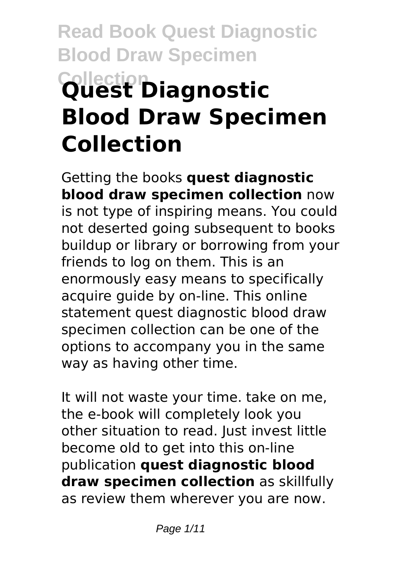# **Read Book Quest Diagnostic Blood Draw Specimen Collection Quest Diagnostic Blood Draw Specimen Collection**

Getting the books **quest diagnostic blood draw specimen collection** now is not type of inspiring means. You could not deserted going subsequent to books buildup or library or borrowing from your friends to log on them. This is an enormously easy means to specifically acquire guide by on-line. This online statement quest diagnostic blood draw specimen collection can be one of the options to accompany you in the same way as having other time.

It will not waste your time. take on me, the e-book will completely look you other situation to read. Just invest little become old to get into this on-line publication **quest diagnostic blood draw specimen collection** as skillfully as review them wherever you are now.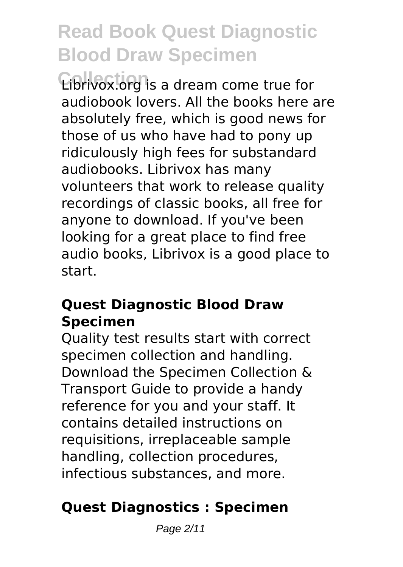**Collection** Librivox.org is a dream come true for audiobook lovers. All the books here are absolutely free, which is good news for those of us who have had to pony up ridiculously high fees for substandard audiobooks. Librivox has many volunteers that work to release quality recordings of classic books, all free for anyone to download. If you've been looking for a great place to find free audio books, Librivox is a good place to start.

#### **Quest Diagnostic Blood Draw Specimen**

Quality test results start with correct specimen collection and handling. Download the Specimen Collection & Transport Guide to provide a handy reference for you and your staff. It contains detailed instructions on requisitions, irreplaceable sample handling, collection procedures, infectious substances, and more.

### **Quest Diagnostics : Specimen**

Page 2/11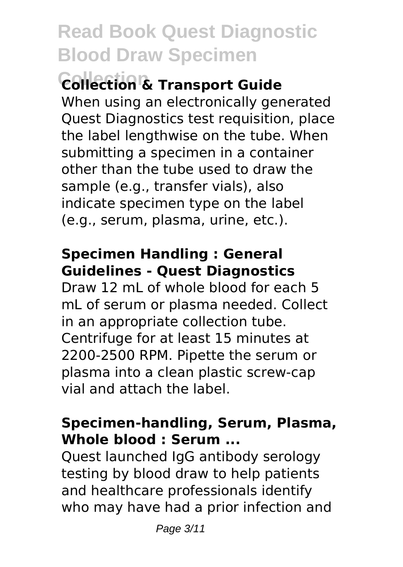### **Collection Collection & Transport Guide**

When using an electronically generated Quest Diagnostics test requisition, place the label lengthwise on the tube. When submitting a specimen in a container other than the tube used to draw the sample (e.g., transfer vials), also indicate specimen type on the label (e.g., serum, plasma, urine, etc.).

### **Specimen Handling : General Guidelines - Quest Diagnostics**

Draw 12 mL of whole blood for each 5 mL of serum or plasma needed. Collect in an appropriate collection tube. Centrifuge for at least 15 minutes at 2200-2500 RPM. Pipette the serum or plasma into a clean plastic screw-cap vial and attach the label.

### **Specimen-handling, Serum, Plasma, Whole blood : Serum ...**

Quest launched IgG antibody serology testing by blood draw to help patients and healthcare professionals identify who may have had a prior infection and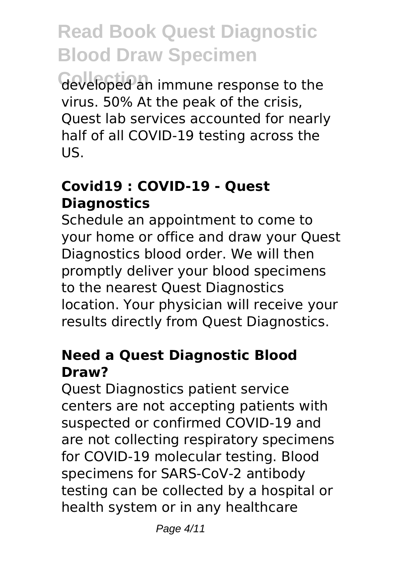**Collection** developed an immune response to the virus. 50% At the peak of the crisis, Quest lab services accounted for nearly half of all COVID-19 testing across the US.

#### **Covid19 : COVID-19 - Quest Diagnostics**

Schedule an appointment to come to your home or office and draw your Quest Diagnostics blood order. We will then promptly deliver your blood specimens to the nearest Quest Diagnostics location. Your physician will receive your results directly from Quest Diagnostics.

#### **Need a Quest Diagnostic Blood Draw?**

Quest Diagnostics patient service centers are not accepting patients with suspected or confirmed COVID-19 and are not collecting respiratory specimens for COVID-19 molecular testing. Blood specimens for SARS-CoV-2 antibody testing can be collected by a hospital or health system or in any healthcare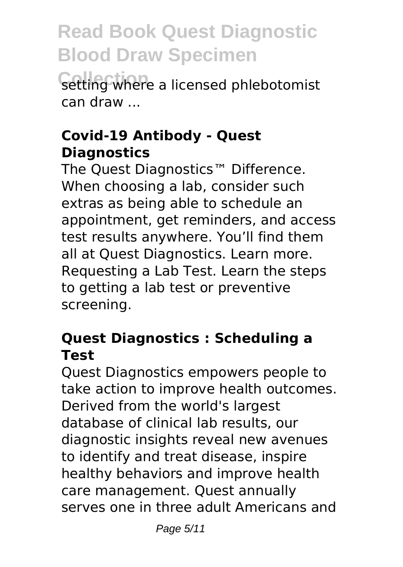setting where a licensed phlebotomist can draw ...

#### **Covid-19 Antibody - Quest Diagnostics**

The Quest Diagnostics™ Difference. When choosing a lab, consider such extras as being able to schedule an appointment, get reminders, and access test results anywhere. You'll find them all at Quest Diagnostics. Learn more. Requesting a Lab Test. Learn the steps to getting a lab test or preventive screening.

### **Quest Diagnostics : Scheduling a Test**

Quest Diagnostics empowers people to take action to improve health outcomes. Derived from the world's largest database of clinical lab results, our diagnostic insights reveal new avenues to identify and treat disease, inspire healthy behaviors and improve health care management. Quest annually serves one in three adult Americans and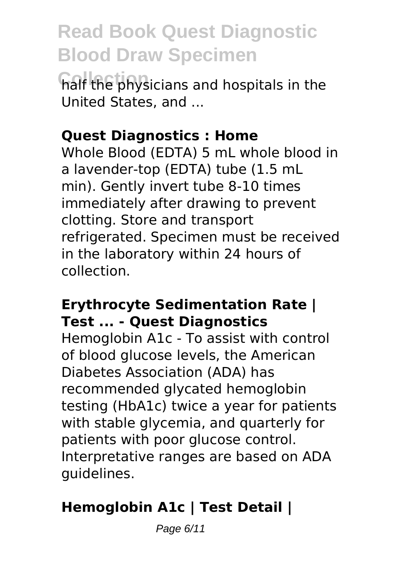**Collection** half the physicians and hospitals in the United States, and ...

#### **Quest Diagnostics : Home**

Whole Blood (EDTA) 5 mL whole blood in a lavender-top (EDTA) tube (1.5 mL min). Gently invert tube 8-10 times immediately after drawing to prevent clotting. Store and transport refrigerated. Specimen must be received in the laboratory within 24 hours of collection.

#### **Erythrocyte Sedimentation Rate | Test ... - Quest Diagnostics**

Hemoglobin A1c - To assist with control of blood glucose levels, the American Diabetes Association (ADA) has recommended glycated hemoglobin testing (HbA1c) twice a year for patients with stable glycemia, and quarterly for patients with poor glucose control. Interpretative ranges are based on ADA guidelines.

### **Hemoglobin A1c | Test Detail |**

Page 6/11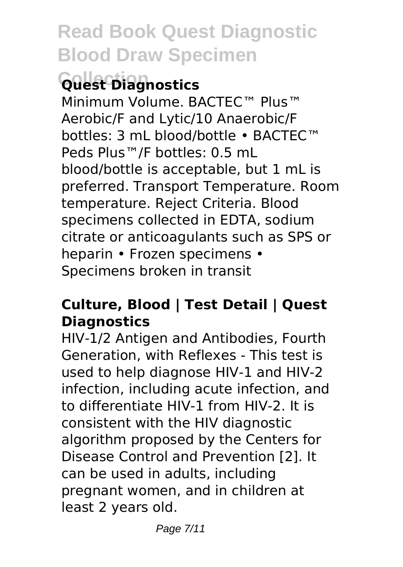# **Collection Quest Diagnostics**

Minimum Volume. BACTEC™ Plus™ Aerobic/F and Lytic/10 Anaerobic/F bottles: 3 mL blood/bottle • BACTEC™ Peds Plus™/F bottles: 0.5 mL blood/bottle is acceptable, but 1 mL is preferred. Transport Temperature. Room temperature. Reject Criteria. Blood specimens collected in EDTA, sodium citrate or anticoagulants such as SPS or heparin • Frozen specimens • Specimens broken in transit

#### **Culture, Blood | Test Detail | Quest Diagnostics**

HIV-1/2 Antigen and Antibodies, Fourth Generation, with Reflexes - This test is used to help diagnose HIV-1 and HIV-2 infection, including acute infection, and to differentiate HIV-1 from HIV-2. It is consistent with the HIV diagnostic algorithm proposed by the Centers for Disease Control and Prevention [2]. It can be used in adults, including pregnant women, and in children at least 2 years old.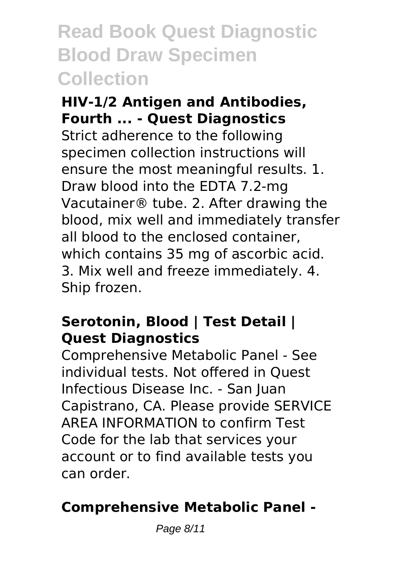### **Read Book Quest Diagnostic Blood Draw Specimen Collection**

#### **HIV-1/2 Antigen and Antibodies, Fourth ... - Quest Diagnostics**

Strict adherence to the following specimen collection instructions will ensure the most meaningful results. 1. Draw blood into the EDTA 7.2-mg Vacutainer® tube. 2. After drawing the blood, mix well and immediately transfer all blood to the enclosed container, which contains 35 mg of ascorbic acid. 3. Mix well and freeze immediately. 4. Ship frozen.

### **Serotonin, Blood | Test Detail | Quest Diagnostics**

Comprehensive Metabolic Panel - See individual tests. Not offered in Quest Infectious Disease Inc. - San Juan Capistrano, CA. Please provide SERVICE AREA INFORMATION to confirm Test Code for the lab that services your account or to find available tests you can order.

### **Comprehensive Metabolic Panel -**

Page 8/11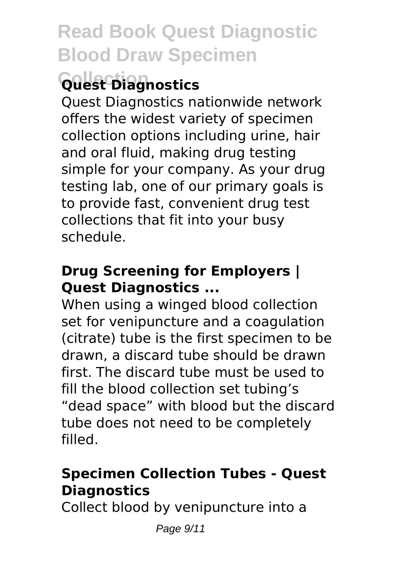# **Collection Quest Diagnostics**

Quest Diagnostics nationwide network offers the widest variety of specimen collection options including urine, hair and oral fluid, making drug testing simple for your company. As your drug testing lab, one of our primary goals is to provide fast, convenient drug test collections that fit into your busy schedule.

### **Drug Screening for Employers | Quest Diagnostics ...**

When using a winged blood collection set for venipuncture and a coagulation (citrate) tube is the first specimen to be drawn, a discard tube should be drawn first. The discard tube must be used to fill the blood collection set tubing's "dead space" with blood but the discard tube does not need to be completely filled.

### **Specimen Collection Tubes - Quest Diagnostics**

Collect blood by venipuncture into a

Page 9/11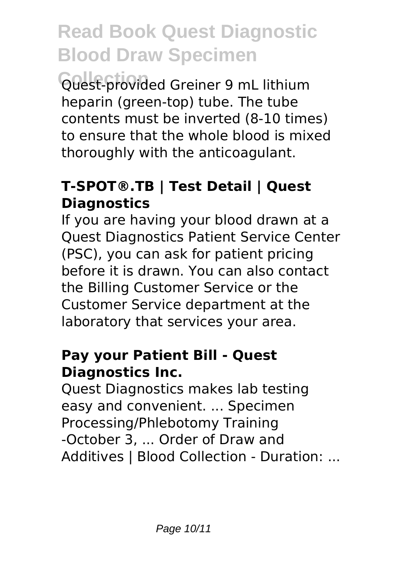**Collection** Quest-provided Greiner 9 mL lithium heparin (green-top) tube. The tube contents must be inverted (8-10 times) to ensure that the whole blood is mixed thoroughly with the anticoagulant.

### **T-SPOT®.TB | Test Detail | Quest Diagnostics**

If you are having your blood drawn at a Quest Diagnostics Patient Service Center (PSC), you can ask for patient pricing before it is drawn. You can also contact the Billing Customer Service or the Customer Service department at the laboratory that services your area.

#### **Pay your Patient Bill - Quest Diagnostics Inc.**

Quest Diagnostics makes lab testing easy and convenient. ... Specimen Processing/Phlebotomy Training -October 3, ... Order of Draw and Additives | Blood Collection - Duration: ...